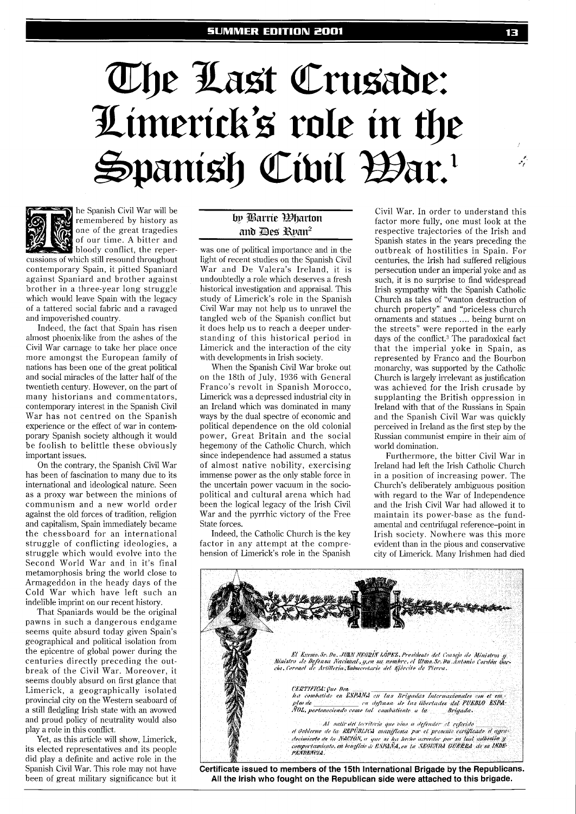# The Last Crusade: Limerick's role in the Spanish Civil Bar.



he Spanish Civil War will be remembered by history as one of the great tragedies of our time. A bitter and bloody conflict, the reper-

cussions of which still resound throughout contemporary Spain, it pitted Spaniard against Spaniard and brother against brother in a three-year long struggle which would leave Spain with the legacy of a tattered social fabric and a ravaged and impoverished country.

Indeed, the fact that Spain has risen almost phoenix-like from the ashes of the Civil War carnage to take her place once more amongst the European family of nations has been one of the great political and social miracles of the latter half of the twentieth century. However, on the part of many historians and commentators, contemporary interest in the Spanish Civil War has not centred on the Spanish experience or the effect of war in contemporary Spanish society although it would be foolish to belittle these obviously important issues.

On the contrary, the Spanish Civil War has been of fascination to many due to its international and ideological nature. Seen as a proxy war between the minions of communism and a new world order against the old forces of tradition, religion and capitalism, Spain immediately became the chessboard for an international struggle of conflicting ideologies, a struggle which would evolve into the Second World War and in it's final metamorphosis bring the world close to Armageddon in the heady days of the Cold War which have left such an indelible imprint on our recent history.

That Spaniards would be the original pawns in such a dangerous endgame seems quite absurd today given Spain's geographical and political isolation from the epicentre of global power during the centuries directly preceding the outbreak of the Civil War. Moreover, it seems doubly absurd on first glance that Limerick, a geographically isolated provincial city on the Western seaboard of a still fledgling Irish state with an avowed and proud policy of neutrality would also play a role in this conflict.

Yet, as this article will show, Limerick, its elected representatives and its people did play a definite and active role in the Spanish Civil War. This role may not have been of great military significance but it

## by Barrie *Elarton* and Des Ryan<sup>2</sup>

was one of political importance and in the light of recent studies on the Spanish Civil War and De Valera's Ireland, it is undoubtedly a role which deserves a fresh historical investigation and appraisal. This study of Limerick's role in the Spanish Civil War may not help us to unravel the tangled web of the Spanish conflict but it does help us to reach a deeper understanding of this historical period in Limerick and the interaction of the city with developments in Irish society.

When the Spanish Civil War broke out on the 18th of July, 1936 with General Franco's revolt in Spanish Morocco, Limerick was a depressed industrial city in an Ireland which was dominated in many ways by the dual spectre of economic and political dependence on the old colonial power, Great Britain and the social hegemony of the Catholic Church, which since independence had assumed a status of almost native nobility, exercising immense power as the only stable force in the uncertain power vacuum in the sociopolitical and cultural arena which had been the logical legacy of the Irish Civil War and the pyrrhic victory of the Free State forces.

Indeed, the Catholic Church is the key factor in any attempt at the comprehension of Limerick's role in the Spanish

Civil War. In order to understand this factor more fully, one must look at the respective trajectories of the Irish and Spanish states in the years preceding the outbreak of hostilities in Spain. For centuries, the Irish had suffered religious persecution under an imperial yoke and as such, it is no surprise to find widespread Irish sympathy with the Spanish Catholic Church as tales of "wanton destruction of church property" and "priceless church ornaments and statues .... being burnt on the streets" were reported in the early days of the conflict.<sup>3</sup> The paradoxical fact that the imperial yoke in Spain, as represented by Franco and the Bourbon monarchy, was supported by the Catholic Church is largely irrelevant as justification was achieved for the Irish crusade by supplanting the British oppression in Ireland with that of the Russians in Spain and the Spanish Civil War was quickly perceived in Ireland as the first step by the Russian communist empire in their aim of world domination.

Furthermore, the bitter Civil War in Ireland had left the Irish Catholic Church in a position of increasing power. The Church's deliberately ambiguous position with regard to the War of Independence and the Irish Civil War had allowed it to maintain its power-base as the fundamental and centrifugal reference-point in Irish society. Nowhere was this more evident than in the pious and conservative city of Limerick. Many Irishmen had died



**All the Irish who fought on the Republican side were attached to this brigade.** 

يممهو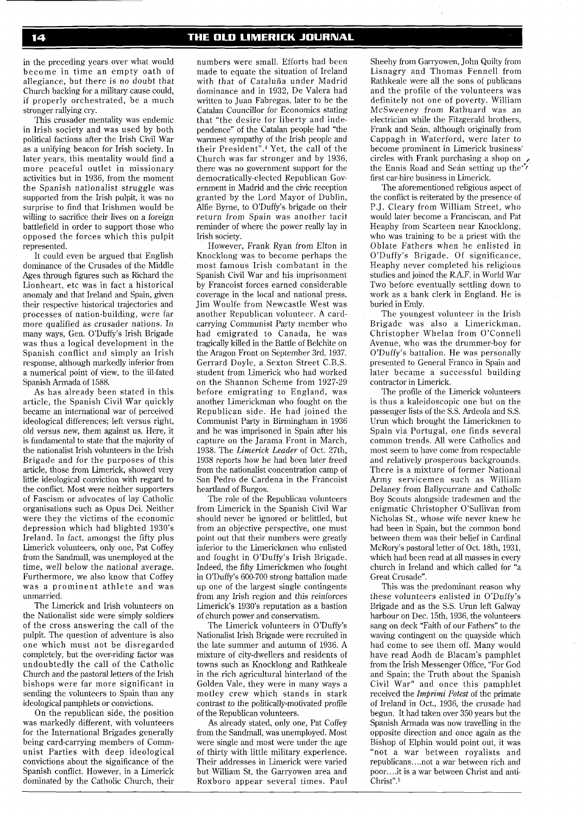in the preceding years over what would become in time an empty oath of allegiance, but there is no doubt that Church backing for a military cause could, if properly orchestrated, be a much stronger rallying cry.

This crusader mentality was endemic in Irish society and was used by both political factions after the Irish Civil War as a unifying beacon for Irish society. In later years, this mentality would find a more peaceful outlet in missionary activities but in 1936, from the moment the Spanish nationalist struggle was supported from the Irish pulpit, it was no surprise to find that Irishmen would be willing to sacrifice their lives on a foreign battlefield in order to support those who opposed the forces which this pulpit represented.

It could even be argued that English dominance of the Crusades of the Middle Ages through figures such as Richard the Lionheart, etc was in fact a historical anomaly and that Ireland and Spain, given their respective historical trajectories and processes of nation-building, were far more qualified as crusader nations. In many ways, Gen. O'Duffy's Irish Brigade was thus a logical development in the Spanish conflict and simply an Irish response, although markedly inferior from a numerical point of view, to the ill-fated Spanish Armada of 1588.

As has already been stated in this article, the Spanish Civil War quickly became an international war of perceived ideological differences; left versus right, old versus new, them against us. Here, it is fundamental to state that the majority of the nationalist Irish volunteers in the Irish Brigade and for the purposes of this article, those from Limerick, showed very little ideological conviction with regard to the conflict. Most were neither supporters of Fascism or advocates of lay Catholic organisations such as Opus Dei. Neither were they the victims of the economic depression which had blighted 1930's Ireland. In fact, amongst the fifty plus Limerick volunteers, only one, Pat Coffey from the Sandmall, was unemployed at the time, well below the national average. Furthermore, we also know that Coffey was a prominent athlete and was unmarried.

The Limerick and Irish volunteers on the Nationalist side were simply soldiers of the cross answering the call of the pulpit. The question of adventure is also one which must not be disregarded completely, but the over-riding factor was undoubtedly the call of the Catholic Church and the pastoral letters of the Irish bishops were far more significant in sending the volunteers to Spain than any ideological pamphlets or convictions.

On the republican side, the position was markedly different, with volunteers for the International Brigades generally being card-carrying members of Communist Parties with deep ideological convictions about the significance of the Spanish conflict. However, in a Limerick dominated by the Catholic Church, their numbers were small. Efforts had been made to equate the situation of Ireland with that of Cataluña under Madrid dominance and in 1932, De Valera had written to Juan Fabregas, later to be the Catalan Councillor for Economics stating that "the desire for liberty and independence" of the Catalan people had "the warmest sympathy of the Irish people and their President".<sup>4</sup> Yet, the call of the Church was far stronger and by 1936, there was no government support for the democratically-elected Republican Government in Madrid and the civic reception granted by the Lord Mayor of Dublin, Alfie Byrne, to O'Duffy's brigade on their return from Spain was another tacit reminder of where the power really lay in Irish society.

However, Frank Ryan from Elton in Knocklong was to become perhaps the most famous Irish combatant in the Spanish Civil War and his imprisonment by Francoist forces earned considerable coverage in the local and national press. Jim Woulfe from Newcastle West was another Republican volunteer. A cardcarrying Communist Party member who had emigrated to Canada, he was tragically killed in the Battle of Belchite on the Aragon Front on September 3rd, 1937. Gerrard Doyle, a Sexton Street C.B.S. student from Limerick who had worked on the Shannon Scheme from 1927-29 before emigrating to England, was another Limerickman who fought on the Republican side. He had joined the Communist Party in Birmingham in 1936 and he was imprisoned in Spain after his capture on the Jarama Front in March, 1938. The *Limerick Leader* of Oct. 27th, 1938 reports how he had been later freed from the nationalist concentration camp of San Pedro de Cardena in the Francoist heartland of Burgos.

The role of the Republican volunteers from Limerick in the Spanish Civil War should never be ignored or belittled, but from an objective perspective, one must point out that their numbers were greatly inferior to the Limerickmen who enlisted and fought in O'Duffy's Irish Brigade. Indeed, the fifty Limerickmen who fought in O'Duffy's 600-700 strong battalion made up one of the largest single contingents from any Irish region and this reinforces Limerick's 1930's reputation as a bastion of church power and conservatism.

The Limerick volunteers in O'Duffy's Nationalist Irish Brigade were recruited in the late summer and autumn of 1936. A mixture of city-dwellers and residents of towns such as Knocklong and Rathkeale in the rich agricultural hinterland of the Golden Vale, they were in many ways a motley crew which stands in stark contrast to the politically-motivated profile of the Republican volunteers.

As already stated, only one, Pat Coffey from the Sandmall, was unemployed. Most were single and most were under the age of thirty with little military experience. Their addresses in Limerick were varied but William St, the Garryowen area and Roxboro appear several times. Paul

Sheehy from Garryowen, John Quilty from Lisnagry and Thomas Fennel1 from Rathkeale were all the sons of publicans and the profile of the volunteers was definitely not one of poverty. William McSweeney from Rathuard was an electrician while the Fitzgerald brothers, Frank and Seán, although originally from Cappagh in Waterford, were later to become prominent in Limerick business' circles with Frank purchasing a shop on  $\epsilon$ the Ennis Road and Sean setting up the<sup>\*\*</sup> first car-hire business in Limerick.

The aforementioned religious aspect of the conflict is reiterated by the presence of P.J. Cleary from William Street, who would later become a Franciscan, and Pat Heaphy from Scarteen near Knocklong, who was training to be a priest with the Oblate Fathers when he enlisted in O'Duffy's Brigade. Of significance, Heaphy never completed his religious studies and joined the R.A.F. in World War Two before eventually settling down to work as a bank clerk in England. He is buried in Emly.

The youngest volunteer in the Irish Brigade was also a Limerickman, Christopher Whelan from O'Connell Avenue, who was the drummer-boy for O'Duffy's battalion. He was personally presented to General Franco in Spain and later became a successful building contractor in Limerick.

The profile of the Limerick volunteers is thus a kaleidoscopic one but on the passenger lists of the S.S. Ardeola and S.S. Urun which brought the Limerickmen to Spain via Portugal, one finds several common trends. All were Catholics and most seem to have come from respectable and relatively prosperous backgrounds. There is a mixture of former National Army servicemen such as William Delaney from Ballycurrane and Catholic Boy Scouts alongside tradesmen and the enigmatic Christopher O'Sullivan from Nicholas St., whose wife never knew he had been in Spain, but the common bond between them was their belief in Cardinal McRory's pastoral letter of Oct. 18th, 1931, which had been read at all masses in every church in Ireland and which called for "a Great Crusade".

This was the predominant reason why these volunteers enlisted in O'Duffy's Brigade and as the S.S. Urun left Galway harbour on Dec. 15th, 1936, the volunteers sang on deck "Faith of our Fathers" to the waving contingent on the quayside which had come to see them off. Many would have read Aodh de Blacam's pamphlet from the Irish Messenger Office, "For God and Spain; the Truth about the Spanish Civil War" and once this pamphlet received the *Imprimi Potest* of the primate of Ireland in Oct., 1936, the crusade had begun. It had taken over 350 years but the Spanish Armada was now travelling in the opposite direction and once again as the Bishop of Elphin would point out, it was "not a war between royalists and republicans.. ..not a war between rich and poor.. ..it is a war between Christ and anti-Christ".<sup>5</sup>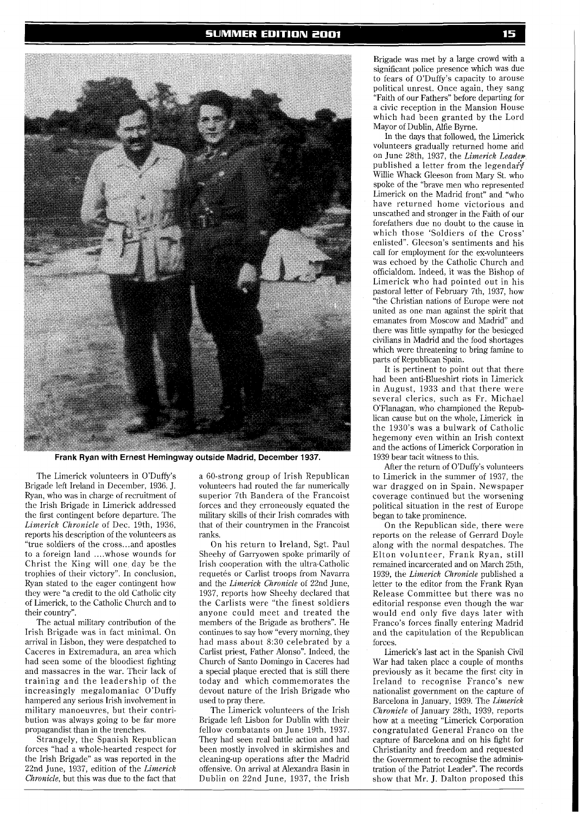

**Frank Ryan with Ernest Hemingway outside Madrid, December 1937.** 

The Limerick volunteers in O'Duffy's Brigade left Ireland in December, 1936. J. Ryan, who was in charge of recruitment of the Irish Brigade in Limerick addressed the first contingent before departure. The *Limerick Chronicle* of Dec. 19th, 1936, reports his description of the volunteers as "true soldiers of the cross.. .and apostles to a foreign land .... whose wounds for Christ the King will one day be the trophies of their victory". In conclusion, Ryan stated to the eager contingent how they were "a credit to the old Catholic city of Limerick, to the Catholic Church and to their country".

The actual military contribution of the Irish Brigade was in fact minimal. On arrival in Lisbon, they were despatched to Caceres in Extremadura, an area which had seen some of the bloodiest fighting and massacres in the war. Their lack of training and the leadership of the increasingly megalomaniac O'Duffy hampered any serious Irish involvement in military manoeuvres, but their contribution was always going to be far more propagandist than in the trenches.

Strangely, the Spanish Republican forces "had a whole-hearted respect for the Irish Brigade" as was reported in the 22nd June, 1937, edition of the *Limerick Chronicle,* but this was due to the fact that

a 60-strong group of Irish Republican volunteers had routed the far numerically superior 7th Bandera of the Francoist forces and they erroneously equated the military skills of their Irish comrades with that of their countrymen in the Francoist ranks.

On his return to Ireland, Sgt. Paul Sheehy of Garryowen spoke primarily of Irish cooperation with the ultra-Catholic requetés or Carlist troops from Navarra and the *Limerick Chronicle* of 22nd June, 1937, reports how Sheehy declared that the Carlists were "the finest soldiers anyone could meet and treated the members of the Brigade as brothers". He continues to say how "every morning, they had mass about 8:30 celebrated by a Carlist priest, Father Alonso". Indeed, the Church of Santo Domingo in Caceres had a special plaque erected that is still there today and which commemorates the devout nature of the Irish Brigade who used to pray there.

The Limerick volunteers of the Irish Brigade left Lisbon for Dublin with their fellow combatants on June 19th, 1937. They had seen real battle action and had been mostly involved in skirmishes and cleaning-up operations after the Madrid offensive. On arrival at Alexandra Basin in Dublin on 22nd June, 1937, the Irish

Brigade was met by a large crowd with a significant police presence which was due to fears of O'Duffy's capacity to arouse political unrest. Once again, they sang "Faith of our Fathers" before departing for a civic reception in the Mansion House which had been granted by the Lord Mayor of Dublin, Alfie Byrne.

In the days that followed, the Limerick volunteers gradually returned home and on June 28th, 1937, the *Limerick Leade~*  published a letter from the legendary Willie Whack Gleeson from Mary St. who spoke of the "brave men who represented Limerick on the Madrid front" and "who have returned home victorious and unscathed and stronger in the Faith of our forefathers due no doubt to the cause in which those 'Soldiers of the Cross' enlisted". Gleeson's sentiments and his call for employment for the ex-volunteers was echoed by the Catholic Church and officialdom. Indeed, it was the Bishop of Limerick who had pointed out in his pastoral letter of February 7th, 1937, how "the Christian nations of Europe were not united as one man against the spirit that emanates from Moscow and Madrid" and there was little sympathy for the besieged civilians in Madrid and the food shortages which were threatening to bring famine to parts of Republican Spain.

It is pertinent to point out that there had been anti-Blueshirt riots in Limerick in August, 1933 and that there were several clerics, such as Fr. Michael O'Flanagan, who championed the Republican cause but on the whole, Limerick in the 1930's was a bulwark of Catholic hegemony even within an Irish context and the actions of Limerick Corporation in 1939 bear tacit witness to this.

After the return of O'Duffy's volunteers to Limerick in the summer of 1937, the war dragged on in Spain. Newspaper coverage continued but the worsening political situation in the rest of Europe began to take prominence.

On the Republican side, there were reports on the release of Gerrard Doyle along with the normal despatches. The Elton volunteer, Frank Ryan, still remained incarcerated and on March 25th, 1939, the *Limerick Chronicle* published a letter to the editor from the Frank Ryan Release Committee but there was no editorial response even though the war would end only five days later with Franco's forces finally entering Madrid and the capitulation of the Republican forces.

Limerick's last act in the Spanish Civil War had taken place a couple of months previously as it became the first city in Ireland to recognise Franco's new nationalist government on the capture of Barcelona in January, 1939. The *Limerick Chronicle* of January 28th, 1939, reports how at a meeting "Limerick Corporation congratulated General Franco on the capture of Barcelona and on his fight for Christianity and freedom and requested the Government to recognise the administration of the Patriot Leader". The records show that Mr. J. Dalton proposed this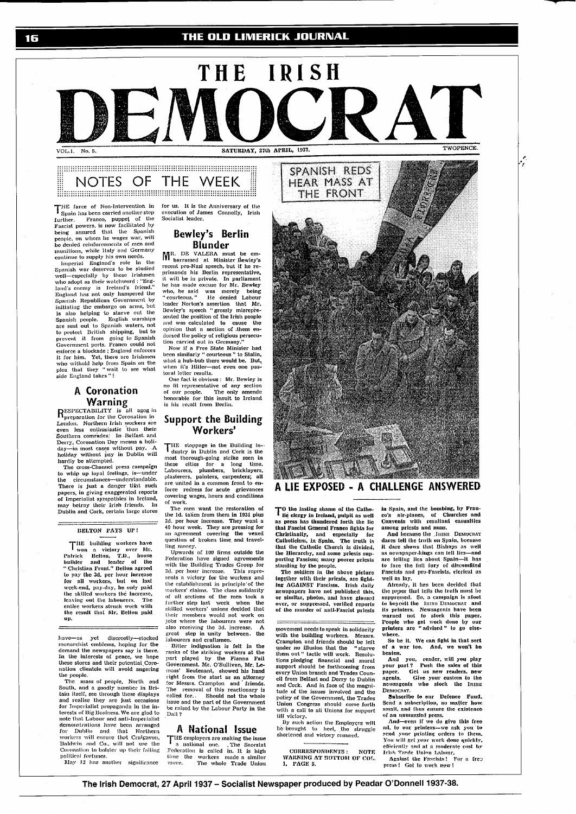## THE OLD LIMERICK JOURNAL

1F



### **Management and Communication Communication** NOTES OF THE WEEK

THE farce of Non-Intervention in<br>Spain has been carried another step span has been carried the price, puppet of the<br>Fascist powers, is now facilitated by<br>being assured that the Spanish

rasist powers, is now metallog assumed that the Spanish<br>poople, on whom he wages war, will<br>be denied reinforcements of men and<br>nutritions, while Italy and Germany<br>continue to supply his own needs.<br>Spanish war deserves to b is also helping to starve out the<br>Spanish people. English warships<br>are sent out to Spanish waters, not<br>to protect British shipping, but to<br>prevent it from going to Spanish<br>Government perts. Franco could not<br>enforce a block

# A Coronation

**Warning**<br>
RESPECTABILITY is all agog in<br>
Denoman for the Coronation in<br>
London. Northern Irish workers are<br>
even less enthusiastic than their<br>
Southern comrades. In Belfast and Southern cornradion Day means a holi-<br>Derry, Coronation Day means a holi-<br>day---in most cases without pay. A<br>holiday without pay in Dublin will

notaty without by all business campaign<br>to whip up loyal feelings, is—under<br>the circumstances—understandable. There is just a danger that such<br>papers, in giving exaggerated reports papers, an event sympathies in Ireland,<br>may betray their Irish friends. In<br>Dublin and Cork, certain large stores

#### BELTON PAYS UP!

THE building workers have I won a victory over Mr.<br>Patrick Belton, T.D., house<br>Builder and leader of the<br>Christian-Front." Belton-agreed **Patrick**<br>|-<br>| builder<br>| a cu to pay the 3d, per hour increase<br>for all workers, but on last for an workers, out on task<br>week-end, pay-day, he only paid<br>the skilled workers the increase,<br>leaving out the labourers. The<br>enite workers struck work with<br>the result that Mr. Belton paid

have-as yet discreetly-stocked<br>monarchist emblems, hoping for the demand the newspapers say is there.<br>In the interests of peace, we hope<br>these stores and their potential Coro-<br>nation clientele will avoid angering

nation clientele will avoid angering<br>the prople.<br>The mass of people, North and<br>South, and a goodly number in Bri-<br>tain itself, see through these displays<br>and realise they are just occasions<br>for Imperialist propaganda in th terests of Big Biusiness. We are glad to<br>note that Labour and anti-Imperialist<br>demonstrations have been arranged<br>for Dublin and that Northern<br>workers will ensure the Craigavon,<br>Baldwin and Co., will not use the<br>Coronation political fortunes.

May 12 has another significance

for us. It is the Anniversary of the<br>execution of James Connolly, Irish<br>Socialist leader.

# Bewley's Berlin

Blunder<br>
MR. DE VALERA must be em-<br>
barrassed at Minister Bewley's<br>
recent pro-Nazi speech, but if he recommunished in the communished and the communished in the communished in the communished in the communished in the communist of the communist of the communist of the communist of the communist of the communist of the commu the has made exceuse for Mr. Bewley<br>who, he said was merely being<br>"courteous." He denied Labour<br>teader Notton's assertion that Mr.<br>Bewley's speech "grossly misrepre-<br>sented the position of the Irish people sended the position of the Irish people<br>and was calculated to cause the<br>opinion that a section of them en-<br>dorsed the policy of religious presecu-<br>dorsed the policy of religious presecu-<br>in carried out in Germany."<br>Now if

toral letter results.

oral externations: Mr. Bewley is<br>no fit representative of any section<br>of our people. The only amende<br>honorable for this insult to Ireland is his recall from Berlin.

#### **Support the Building** Workers'

THE sloppage in the Building in-<br>dustry in Dublin and Cork is the most thorough-going strike seen in<br>these cities for a long time.<br>Labourers, plumbers, bricklayers,<br>plasterers, painters, carpenters; all are united in a common front to enforce redress for acute grievances<br>covering wages, hours and conditions<br>of work.

The men want the restoration of the Hd. taken from them in 1931 plus<br>2d, per hour increase. They want a<br>40 hour week. They are pressing for<br>an agreement covering the vexed<br>usus more between the state and travel-<br>usus more from the state and travelling money.<br>Upwards of 100 firms outside the

Federation have signed agreements<br>with the Building Trades Group for<br>3d, per hour increase. This reprewith the Building Trades Group for Sal, per hour interesse. This reports and the establishment in principle of the workers and the establishment in principle of the ord solid solid and for order solid and solid and solid

#### A National Issue

THE employers are making the issue<br>a mational one. The Snorstat Federation is called in. It is high<br>time the workers made a similar<br>move. The whole Trade Union



TO the lasting shame of the Catholic clear as press has thundered forth the lie that Fascist General Franco fights for called the called the second the called the called the Catholicism, in Spain. The truth is<br>that the Catholic Church is divided,

the Hierarchy, and some priests sup-<br>porting Fascism; many poorer priests<br>standing by the people.

stating by the polities in the above picture<br>together with their priests, are fight-<br>ing AGAINST Fascism. Irish daily the average have not published this,<br>newspapers have not published this,<br>or similar, photos, and have glossed<br>over, or suppressed, verified reports<br>of the nurder of anti-Fascist priests

movement needs to speak in solidarity<br>with the building workers. Messrs.<br>Crampton and friends should be left<br>under no illusion that the "starve under no illusion that the "starve<br>them out" tacite will work. Resolutions pledging financial and moral<br>support should be forthcoming from<br>every Union branch and Trades Count-<br>cil from Belfast and Derry to Dublin<br>and Cork. and Cork. And in luce of the imagin-<br>tude of the issues involved and the<br>policy of the Government, the Trades<br>Union Congress should come forth<br>with a call to all Unions for support<br>if the victory

with a can co an onload server.<br>
iil victory.<br>
By such action the Employers will<br>
be brought to heel, the struggle<br>
shortened and victory ensured,

CORRESPONDENTS : NOTE<br>WARNING AT BOTTOM OF COL.<br>1, PAGE 5.

in Spain, and the bombing, by Fran-

in Spain, and the bonuous, by run-<br>co's air-planes, of Churches and<br>Convents with resultant easualties<br>among priests and nuns.<br>And because the Justi DEMOCRAT<br>dares tell the truth on Spain, because<br>it dare shows that Bishop n trace shows have the same as newspaper-kings can tell lies--and<br>are telling lies about Spain--it has<br>to face the full fury of discomfited<br>Fascists and pro-Fascists, elerical as<br>all as has well as lay.<br>Micady, it has been decided that

Already, it has been decided that<br>the paper that tells the truth must be<br>suppressed. So, a campaign is a<br>foot to boyeoft the linear Deavencar and<br>its printers. Newsagents have been<br>varied not to stock this paper.<br>People wh where.

So be it. We can fight in that sort<br>f a war too. And, we won't be beaten.

heaten, and you, reader, will you play<br>your part? Push the sales of this<br>paper. Get us new readers, new<br>agents. Give your custom to the<br>newsagents who slock the IRISH DEMOCRAT.

Subscribe to our Defence Fund. Send a subscription, no matter how<br>small, and thus ensure the existence

of an numuzzled press.<br>
And-ven if we do give this free<br>
and, to our printers—we ask you to<br>
send your printing orders to them. Nou will get your work done quickly,<br>efficiently and at a moderate cost by<br>leish Trade Union Labour.<br>Against the Fascists! For a free

press! Get to work now!

The Irish Democrat, 27 April 1937 - Socialist Newspaper produced by Peadar O'Donnell 1937-38.